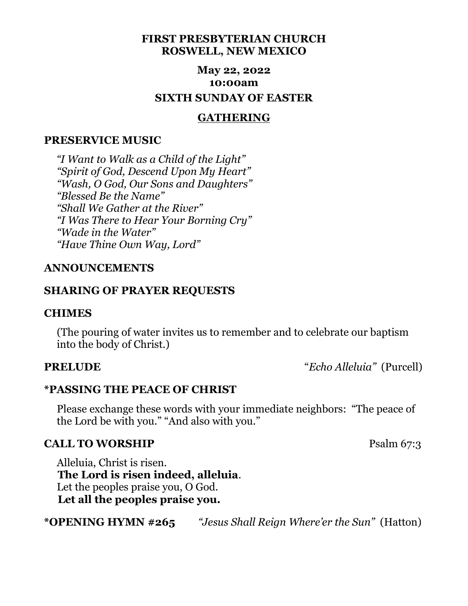## **FIRST PRESBYTERIAN CHURCH ROSWELL, NEW MEXICO**

# **May 22, 2022 10:00am SIXTH SUNDAY OF EASTER**

## **GATHERING**

### **PRESERVICE MUSIC**

*"I Want to Walk as a Child of the Light" "Spirit of God, Descend Upon My Heart" "Wash, O God, Our Sons and Daughters" "Blessed Be the Name" "Shall We Gather at the River" "I Was There to Hear Your Borning Cry" "Wade in the Water" "Have Thine Own Way, Lord"*

## **ANNOUNCEMENTS**

### **SHARING OF PRAYER REQUESTS**

### **CHIMES**

 (The pouring of water invites us to remember and to celebrate our baptism into the body of Christ.)

**PRELUDE** "*Echo Alleluia"* (Purcell)

## **\*PASSING THE PEACE OF CHRIST**

 Please exchange these words with your immediate neighbors: "The peace of the Lord be with you." "And also with you."

### **CALL TO WORSHIP** Psalm 67:3

 Alleluia, Christ is risen.  **The Lord is risen indeed, alleluia**. Let the peoples praise you, O God.  **Let all the peoples praise you.**

**\*OPENING HYMN #265** *"Jesus Shall Reign Where'er the Sun"* (Hatton)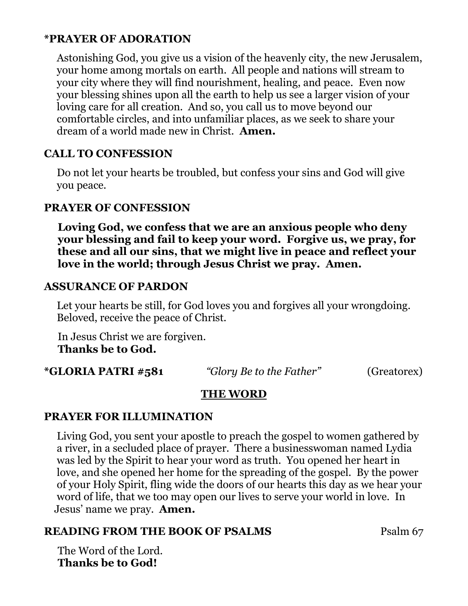# **\*PRAYER OF ADORATION**

 Astonishing God, you give us a vision of the heavenly city, the new Jerusalem, your home among mortals on earth. All people and nations will stream to your city where they will find nourishment, healing, and peace. Even now your blessing shines upon all the earth to help us see a larger vision of your loving care for all creation. And so, you call us to move beyond our comfortable circles, and into unfamiliar places, as we seek to share your dream of a world made new in Christ. **Amen.**

## **CALL TO CONFESSION**

 Do not let your hearts be troubled, but confess your sins and God will give you peace.

## **PRAYER OF CONFESSION**

 **Loving God, we confess that we are an anxious people who deny your blessing and fail to keep your word. Forgive us, we pray, for these and all our sins, that we might live in peace and reflect your love in the world; through Jesus Christ we pray. Amen.**

### **ASSURANCE OF PARDON**

 Let your hearts be still, for God loves you and forgives all your wrongdoing. Beloved, receive the peace of Christ.

In Jesus Christ we are forgiven.  **Thanks be to God.**

**\*GLORIA PATRI #581** *"Glory Be to the Father"* (Greatorex)

# **THE WORD**

### **PRAYER FOR ILLUMINATION**

 Living God, you sent your apostle to preach the gospel to women gathered by a river, in a secluded place of prayer. There a businesswoman named Lydia was led by the Spirit to hear your word as truth. You opened her heart in love, and she opened her home for the spreading of the gospel. By the power of your Holy Spirit, fling wide the doors of our hearts this day as we hear your word of life, that we too may open our lives to serve your world in love. In Jesus' name we pray. **Amen.**

## **READING FROM THE BOOK OF PSALMS** Psalm 67

The Word of the Lord. **Thanks be to God!**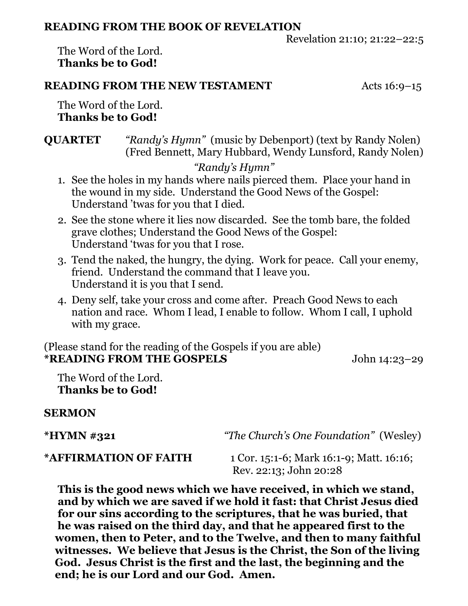### **READING FROM THE BOOK OF REVELATION**

Revelation 21:10; 21:22–22:5

The Word of the Lord. **Thanks be to God!**

## **READING FROM THE NEW TESTAMENT** Acts 16:9-15

The Word of the Lord. **Thanks be to God!**

**QUARTET** *"Randy's Hymn"* (music by Debenport) (text by Randy Nolen) (Fred Bennett, Mary Hubbard, Wendy Lunsford, Randy Nolen)

# *"Randy's Hymn"*

- 1. See the holes in my hands where nails pierced them. Place your hand in the wound in my side. Understand the Good News of the Gospel: Understand 'twas for you that I died.
- 2. See the stone where it lies now discarded. See the tomb bare, the folded grave clothes; Understand the Good News of the Gospel: Understand 'twas for you that I rose.
- 3. Tend the naked, the hungry, the dying. Work for peace. Call your enemy, friend. Understand the command that I leave you. Understand it is you that I send.
- 4. Deny self, take your cross and come after. Preach Good News to each nation and race. Whom I lead, I enable to follow. Whom I call, I uphold with my grace.

(Please stand for the reading of the Gospels if you are able) **\*READING FROM THE GOSPELS** John 14:23–29

The Word of the Lord. **Thanks be to God!**

## **SERMON**

**\*HYMN #321** *"The Church's One Foundation"* (Wesley)

**\*AFFIRMATION OF FAITH** 1 Cor. 15:1-6; Mark 16:1-9; Matt. 16:16; Rev. 22:13; John 20:28

 **This is the good news which we have received, in which we stand, and by which we are saved if we hold it fast: that Christ Jesus died for our sins according to the scriptures, that he was buried, that he was raised on the third day, and that he appeared first to the women, then to Peter, and to the Twelve, and then to many faithful witnesses. We believe that Jesus is the Christ, the Son of the living God. Jesus Christ is the first and the last, the beginning and the end; he is our Lord and our God. Amen.**